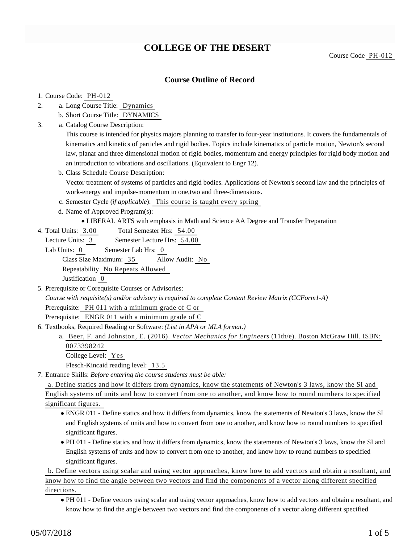# **COLLEGE OF THE DESERT**

### **Course Outline of Record**

#### 1. Course Code: PH-012

- a. Long Course Title: Dynamics 2.
	- b. Short Course Title: DYNAMICS
- Catalog Course Description: a. 3.

This course is intended for physics majors planning to transfer to four-year institutions. It covers the fundamentals of kinematics and kinetics of particles and rigid bodies. Topics include kinematics of particle motion, Newton's second law, planar and three dimensional motion of rigid bodies, momentum and energy principles for rigid body motion and an introduction to vibrations and oscillations. (Equivalent to Engr 12).

b. Class Schedule Course Description:

Vector treatment of systems of particles and rigid bodies. Applications of Newton's second law and the principles of work-energy and impulse-momentum in one,two and three-dimensions.

- c. Semester Cycle (*if applicable*): This course is taught every spring
- d. Name of Approved Program(s):
	- LIBERAL ARTS with emphasis in Math and Science AA Degree and Transfer Preparation
- Total Semester Hrs: 54.00 4. Total Units: 3.00

Lecture Units: 3 Semester Lecture Hrs: 54.00

Lab Units: 0 Semester Lab Hrs: 0 Class Size Maximum: 35 Allow Audit: No Repeatability No Repeats Allowed Justification 0

- 5. Prerequisite or Corequisite Courses or Advisories: *Course with requisite(s) and/or advisory is required to complete Content Review Matrix (CCForm1-A)* Prerequisite: PH 011 with a minimum grade of C or Prerequisite: ENGR 011 with a minimum grade of C
- 6. Textbooks, Required Reading or Software: (List in APA or MLA format.)
	- a. Beer, F. and Johnston, E. (2016). *Vector Mechanics for Engineers* (11th/e). Boston McGraw Hill. ISBN: 0073398242
		- College Level: Yes

Flesch-Kincaid reading level: 13.5

Entrance Skills: *Before entering the course students must be able:* 7.

a. Define statics and how it differs from dynamics, know the statements of Newton's 3 laws, know the SI and

English systems of units and how to convert from one to another, and know how to round numbers to specified significant figures.

- ENGR 011 Define statics and how it differs from dynamics, know the statements of Newton's 3 laws, know the SI and English systems of units and how to convert from one to another, and know how to round numbers to specified significant figures.
- PH 011 Define statics and how it differs from dynamics, know the statements of Newton's 3 laws, know the SI and English systems of units and how to convert from one to another, and know how to round numbers to specified significant figures.

b. Define vectors using scalar and using vector approaches, know how to add vectors and obtain a resultant, and know how to find the angle between two vectors and find the components of a vector along different specified directions.

PH 011 - Define vectors using scalar and using vector approaches, know how to add vectors and obtain a resultant, and know how to find the angle between two vectors and find the components of a vector along different specified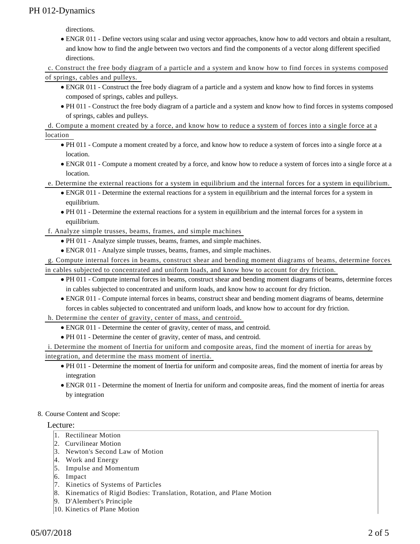directions.

ENGR 011 - Define vectors using scalar and using vector approaches, know how to add vectors and obtain a resultant, and know how to find the angle between two vectors and find the components of a vector along different specified directions.

c. Construct the free body diagram of a particle and a system and know how to find forces in systems composed of springs, cables and pulleys.

- ENGR 011 Construct the free body diagram of a particle and a system and know how to find forces in systems composed of springs, cables and pulleys.
- PH 011 Construct the free body diagram of a particle and a system and know how to find forces in systems composed of springs, cables and pulleys.

d. Compute a moment created by a force, and know how to reduce a system of forces into a single force at a

location

- PH 011 Compute a moment created by a force, and know how to reduce a system of forces into a single force at a location.
- ENGR 011 Compute a moment created by a force, and know how to reduce a system of forces into a single force at a location.
- e. Determine the external reactions for a system in equilibrium and the internal forces for a system in equilibrium.
	- ENGR 011 Determine the external reactions for a system in equilibrium and the internal forces for a system in equilibrium.
	- PH 011 Determine the external reactions for a system in equilibrium and the internal forces for a system in equilibrium.

f. Analyze simple trusses, beams, frames, and simple machines

- PH 011 Analyze simple trusses, beams, frames, and simple machines.
- ENGR 011 Analyze simple trusses, beams, frames, and simple machines.

g. Compute internal forces in beams, construct shear and bending moment diagrams of beams, determine forces in cables subjected to concentrated and uniform loads, and know how to account for dry friction.

- PH 011 Compute internal forces in beams, construct shear and bending moment diagrams of beams, determine forces in cables subjected to concentrated and uniform loads, and know how to account for dry friction.
- ENGR 011 Compute internal forces in beams, construct shear and bending moment diagrams of beams, determine forces in cables subjected to concentrated and uniform loads, and know how to account for dry friction.

h. Determine the center of gravity, center of mass, and centroid.

- ENGR 011 Determine the center of gravity, center of mass, and centroid.
- PH 011 Determine the center of gravity, center of mass, and centroid.

i. Determine the moment of Inertia for uniform and composite areas, find the moment of inertia for areas by integration, and determine the mass moment of inertia.

- PH 011 Determine the moment of Inertia for uniform and composite areas, find the moment of inertia for areas by integration
- ENGR 011 Determine the moment of Inertia for uniform and composite areas, find the moment of inertia for areas by integration

### 8. Course Content and Scope:

#### Lecture:

- 1. Rectilinear Motion
- 2. Curvilinear Motion
- 3. Newton's Second Law of Motion
- 4. Work and Energy
- 5. Impulse and Momentum
- 6. Impact
- 7. Kinetics of Systems of Particles
- 8. Kinematics of Rigid Bodies: Translation, Rotation, and Plane Motion
- 9. D'Alembert's Principle
- 10. Kinetics of Plane Motion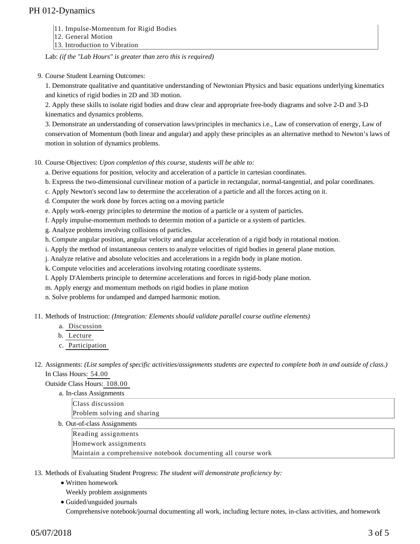- 11. Impulse-Momentum for Rigid Bodies
- 12. General Motion
- 13. Introduction to Vibration

Lab: *(if the "Lab Hours" is greater than zero this is required)*

9. Course Student Learning Outcomes:

1. Demonstrate qualitative and quantitative understanding of Newtonian Physics and basic equations underlying kinematics and kinetics of rigid bodies in 2D and 3D motion.

2. Apply these skills to isolate rigid bodies and draw clear and appropriate free-body diagrams and solve 2-D and 3-D kinematics and dynamics problems.

3. Demonstrate an understanding of conservation laws/principles in mechanics i.e., Law of conservation of energy, Law of conservation of Momentum (both linear and angular) and apply these principles as an alternative method to Newton's laws of motion in solution of dynamics problems.

10. Course Objectives: Upon completion of this course, students will be able to:

a. Derive equations for position, velocity and acceleration of a particle in cartesian coordinates.

b. Express the two-dimensional curvilinear motion of a particle in rectangular, normal-tangential, and polar coordinates.

- c. Apply Newton's second law to determine the acceleration of a particle and all the forces acting on it.
- d. Computer the work done by forces acting on a moving particle
- e. Apply work-energy principles to determine the motion of a particle or a system of particles.
- f. Apply impulse-momentum methods to determin motion of a particle or a system of particles.
- g. Analyze problems involving collisions of particles.

h. Compute angular position, angular velocity and angular acceleration of a rigid body in rotational motion.

i. Apply the method of instantaneous centers to analyze velocities of rigid bodies in general plane motion.

j. Analyze relative and absolute velocities and accelerations in a regidn body in plane motion.

k. Compute velocities and accelerations involving rotating coordinate systems.

l. Apply D'Alemberts principle to determine accelerations and forces in rigid-body plane motion.

m. Apply energy and momentum methods on rigid bodies in plane motion

n. Solve problems for undamped and damped harmonic motion.

11. Methods of Instruction: *(Integration: Elements should validate parallel course outline elements)* 

- a. Discussion
- b. Lecture
- c. Participation

12. Assignments: (List samples of specific activities/assignments students are expected to complete both in and outside of class.) In Class Hours: 54.00

Outside Class Hours: 108.00

a. In-class Assignments Class discussion Problem solving and sharing b. Out-of-class Assignments Reading assignments Homework assignments Maintain a comprehensive notebook documenting all course work

13. Methods of Evaluating Student Progress: The student will demonstrate proficiency by:

- Written homework
	- Weekly problem assignments
- Guided/unguided journals Comprehensive notebook/journal documenting all work, including lecture notes, in-class activities, and homework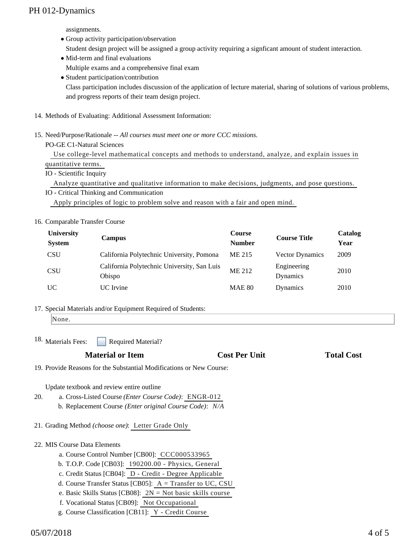assignments.

- Group activity participation/observation Student design project will be assigned a group activity requiring a signficant amount of student interaction. • Mid-term and final evaluations
- Multiple exams and a comprehensive final exam
- Student participation/contribution

Class participation includes discussion of the application of lecture material, sharing of solutions of various problems, and progress reports of their team design project.

- 14. Methods of Evaluating: Additional Assessment Information:
- 15. Need/Purpose/Rationale -- All courses must meet one or more CCC missions.

PO-GE C1-Natural Sciences

 Use college-level mathematical concepts and methods to understand, analyze, and explain issues in quantitative terms.

IO - Scientific Inquiry

Analyze quantitative and qualitative information to make decisions, judgments, and pose questions.

IO - Critical Thinking and Communication Apply principles of logic to problem solve and reason with a fair and open mind.

### 16. Comparable Transfer Course

| University<br><b>System</b> | <b>Campus</b>                                         | <b>Course</b><br><b>Number</b> | <b>Course Title</b>     | Catalog<br>Year |
|-----------------------------|-------------------------------------------------------|--------------------------------|-------------------------|-----------------|
| <b>CSU</b>                  | California Polytechnic University, Pomona             | ME 215                         | <b>Vector Dynamics</b>  | 2009            |
| <b>CSU</b>                  | California Polytechnic University, San Luis<br>Obispo | ME 212                         | Engineering<br>Dynamics | 2010            |
| UC                          | UC Irvine                                             | <b>MAE 80</b>                  | Dynamics                | 2010            |

17. Special Materials and/or Equipment Required of Students:

Required Material? <sup>18.</sup> Materials Fees:

## **Material or Item Cost Per Unit Total Cost Per Unit Total Cost Per Unit Accord Total Cost Accord Cost Per Unit**

19. Provide Reasons for the Substantial Modifications or New Course:

Update textbook and review entire outline

- a. Cross-Listed Course *(Enter Course Code)*: ENGR-012 b. Replacement Course *(Enter original Course Code)*: *N/A* 20.
- 21. Grading Method *(choose one)*: Letter Grade Only

### 22. MIS Course Data Elements

- a. Course Control Number [CB00]: CCC000533965
- b. T.O.P. Code [CB03]: 190200.00 Physics, General
- c. Credit Status [CB04]: D Credit Degree Applicable
- d. Course Transfer Status [CB05]: A = Transfer to UC, CSU
- e. Basic Skills Status [CB08]: 2N = Not basic skills course
- f. Vocational Status [CB09]: Not Occupational
- g. Course Classification [CB11]: Y Credit Course

None.